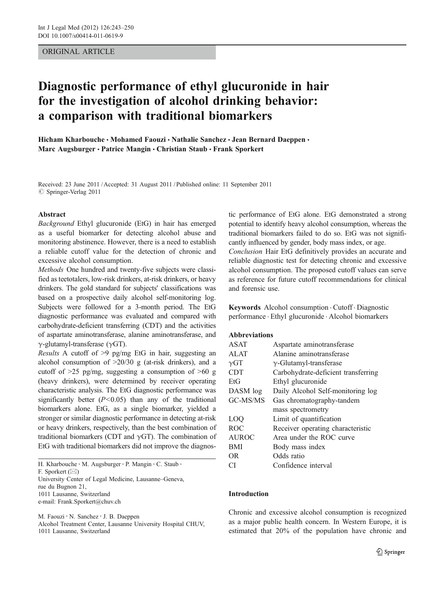# ORIGINAL ARTICLE

# Diagnostic performance of ethyl glucuronide in hair for the investigation of alcohol drinking behavior: a comparison with traditional biomarkers

Hicham Kharbouche • Mohamed Faouzi • Nathalie Sanchez • Jean Bernard Daeppen • Marc Augsburger · Patrice Mangin · Christian Staub · Frank Sporkert

Received: 23 June 2011 /Accepted: 31 August 2011 / Published online: 11 September 2011  $©$  Springer-Verlag 2011

#### Abstract

Background Ethyl glucuronide (EtG) in hair has emerged as a useful biomarker for detecting alcohol abuse and monitoring abstinence. However, there is a need to establish a reliable cutoff value for the detection of chronic and excessive alcohol consumption.

Methods One hundred and twenty-five subjects were classified as teetotalers, low-risk drinkers, at-risk drinkers, or heavy drinkers. The gold standard for subjects' classifications was based on a prospective daily alcohol self-monitoring log. Subjects were followed for a 3-month period. The EtG diagnostic performance was evaluated and compared with carbohydrate-deficient transferring (CDT) and the activities of aspartate aminotransferase, alanine aminotransferase, and  $γ$ -glutamyl-transferase (γGT).

Results A cutoff of >9 pg/mg EtG in hair, suggesting an alcohol consumption of  $>20/30$  g (at-risk drinkers), and a cutoff of  $>25$  pg/mg, suggesting a consumption of  $>60$  g (heavy drinkers), were determined by receiver operating characteristic analysis. The EtG diagnostic performance was significantly better  $(P<0.05)$  than any of the traditional biomarkers alone. EtG, as a single biomarker, yielded a stronger or similar diagnostic performance in detecting at-risk or heavy drinkers, respectively, than the best combination of traditional biomarkers (CDT and  $\gamma$ GT). The combination of EtG with traditional biomarkers did not improve the diagnos-

H. Kharbouche : M. Augsburger : P. Mangin : C. Staub : F. Sporkert  $(\boxtimes)$ University Center of Legal Medicine, Lausanne–Geneva, rue du Bugnon 21, 1011 Lausanne, Switzerland e-mail: Frank.Sporkert@chuv.ch

M. Faouzi : N. Sanchez : J. B. Daeppen Alcohol Treatment Center, Lausanne University Hospital CHUV,

1011 Lausanne, Switzerland

tic performance of EtG alone. EtG demonstrated a strong potential to identify heavy alcohol consumption, whereas the traditional biomarkers failed to do so. EtG was not significantly influenced by gender, body mass index, or age. Conclusion Hair EtG definitively provides an accurate and reliable diagnostic test for detecting chronic and excessive alcohol consumption. The proposed cutoff values can serve as reference for future cutoff recommendations for clinical and forensic use.

Keywords Alcohol consumption . Cutoff . Diagnostic performance . Ethyl glucuronide . Alcohol biomarkers

# Abbreviations

| <b>ASAT</b>  | Aspartate aminotransferase          |  |  |  |
|--------------|-------------------------------------|--|--|--|
| <b>ALAT</b>  | Alanine aminotransferase            |  |  |  |
| $\gamma$ GT  | $\gamma$ -Glutamyl-transferase      |  |  |  |
| <b>CDT</b>   | Carbohydrate-deficient transferring |  |  |  |
| EtG          | Ethyl glucuronide                   |  |  |  |
| DASM log     | Daily Alcohol Self-monitoring log   |  |  |  |
| GC-MS/MS     | Gas chromatography-tandem           |  |  |  |
|              | mass spectrometry                   |  |  |  |
| LOO          | Limit of quantification             |  |  |  |
| <b>ROC</b>   | Receiver operating characteristic   |  |  |  |
| <b>AUROC</b> | Area under the ROC curve            |  |  |  |
| <b>BMI</b>   | Body mass index                     |  |  |  |
| OR.          | Odds ratio                          |  |  |  |
| СI           | Confidence interval                 |  |  |  |

## Introduction

Chronic and excessive alcohol consumption is recognized as a major public health concern. In Western Europe, it is estimated that 20% of the population have chronic and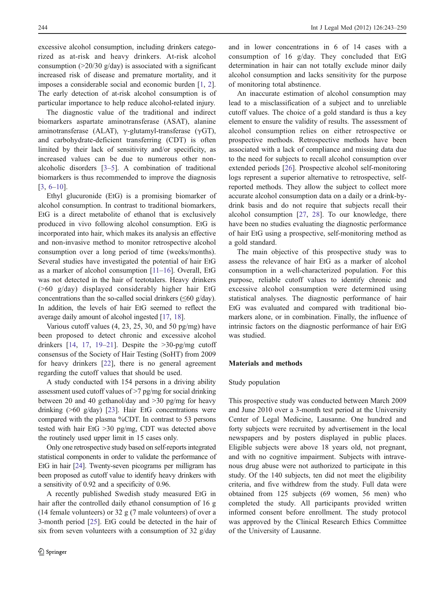excessive alcohol consumption, including drinkers categorized as at-risk and heavy drinkers. At-risk alcohol consumption  $(20/30 \text{ g/day})$  is associated with a significant increased risk of disease and premature mortality, and it imposes a considerable social and economic burden [[1,](#page-6-0) [2](#page-6-0)]. The early detection of at-risk alcohol consumption is of particular importance to help reduce alcohol-related injury.

The diagnostic value of the traditional and indirect biomarkers aspartate aminotransferase (ASAT), alanine aminotransferase (ALAT),  $γ$ -glutamyl-transferase (γGT), and carbohydrate-deficient transferring (CDT) is often limited by their lack of sensitivity and/or specificity, as increased values can be due to numerous other nonalcoholic disorders [[3](#page-6-0)–[5\]](#page-6-0). A combination of traditional biomarkers is thus recommended to improve the diagnosis [\[3](#page-6-0), [6](#page-6-0)–[10\]](#page-6-0).

Ethyl glucuronide (EtG) is a promising biomarker of alcohol consumption. In contrast to traditional biomarkers, EtG is a direct metabolite of ethanol that is exclusively produced in vivo following alcohol consumption. EtG is incorporated into hair, which makes its analysis an effective and non-invasive method to monitor retrospective alcohol consumption over a long period of time (weeks/months). Several studies have investigated the potential of hair EtG as a marker of alcohol consumption [[11](#page-6-0)–[16\]](#page-6-0). Overall, EtG was not detected in the hair of teetotalers. Heavy drinkers (>60 g/day) displayed considerably higher hair EtG concentrations than the so-called social drinkers ( $\leq 60$  g/day). In addition, the levels of hair EtG seemed to reflect the average daily amount of alcohol ingested [\[17](#page-6-0), [18\]](#page-6-0).

Various cutoff values (4, 23, 25, 30, and 50 pg/mg) have been proposed to detect chronic and excessive alcohol drinkers  $[14, 17, 19-21]$  $[14, 17, 19-21]$  $[14, 17, 19-21]$  $[14, 17, 19-21]$  $[14, 17, 19-21]$  $[14, 17, 19-21]$  $[14, 17, 19-21]$  $[14, 17, 19-21]$  $[14, 17, 19-21]$ . Despite the  $>30$ -pg/mg cutoff consensus of the Society of Hair Testing (SoHT) from 2009 for heavy drinkers [[22\]](#page-7-0), there is no general agreement regarding the cutoff values that should be used.

A study conducted with 154 persons in a driving ability assessment used cutoff values of >7 pg/mg for social drinking between 20 and 40 gethanol/day and >30 pg/mg for heavy drinking (>60 g/day) [\[23](#page-7-0)]. Hair EtG concentrations were compared with the plasma %CDT. In contrast to 53 persons tested with hair EtG >30 pg/mg, CDT was detected above the routinely used upper limit in 15 cases only.

Only one retrospective study based on self-reports integrated statistical components in order to validate the performance of EtG in hair [[24](#page-7-0)]. Twenty-seven picograms per milligram has been proposed as cutoff value to identify heavy drinkers with a sensitivity of 0.92 and a specificity of 0.96.

A recently published Swedish study measured EtG in hair after the controlled daily ethanol consumption of 16 g (14 female volunteers) or 32 g (7 male volunteers) of over a 3-month period [\[25](#page-7-0)]. EtG could be detected in the hair of six from seven volunteers with a consumption of 32 g/day

and in lower concentrations in 6 of 14 cases with a consumption of 16 g/day. They concluded that EtG determination in hair can not totally exclude minor daily alcohol consumption and lacks sensitivity for the purpose of monitoring total abstinence.

An inaccurate estimation of alcohol consumption may lead to a misclassification of a subject and to unreliable cutoff values. The choice of a gold standard is thus a key element to ensure the validity of results. The assessment of alcohol consumption relies on either retrospective or prospective methods. Retrospective methods have been associated with a lack of compliance and missing data due to the need for subjects to recall alcohol consumption over extended periods [\[26](#page-7-0)]. Prospective alcohol self-monitoring logs represent a superior alternative to retrospective, selfreported methods. They allow the subject to collect more accurate alcohol consumption data on a daily or a drink-bydrink basis and do not require that subjects recall their alcohol consumption [\[27](#page-7-0), [28](#page-7-0)]. To our knowledge, there have been no studies evaluating the diagnostic performance of hair EtG using a prospective, self-monitoring method as a gold standard.

The main objective of this prospective study was to assess the relevance of hair EtG as a marker of alcohol consumption in a well-characterized population. For this purpose, reliable cutoff values to identify chronic and excessive alcohol consumption were determined using statistical analyses. The diagnostic performance of hair EtG was evaluated and compared with traditional biomarkers alone, or in combination. Finally, the influence of intrinsic factors on the diagnostic performance of hair EtG was studied.

## Materials and methods

#### Study population

This prospective study was conducted between March 2009 and June 2010 over a 3-month test period at the University Center of Legal Medicine, Lausanne. One hundred and forty subjects were recruited by advertisement in the local newspapers and by posters displayed in public places. Eligible subjects were above 18 years old, not pregnant, and with no cognitive impairment. Subjects with intravenous drug abuse were not authorized to participate in this study. Of the 140 subjects, ten did not meet the eligibility criteria, and five withdrew from the study. Full data were obtained from 125 subjects (69 women, 56 men) who completed the study. All participants provided written informed consent before enrollment. The study protocol was approved by the Clinical Research Ethics Committee of the University of Lausanne.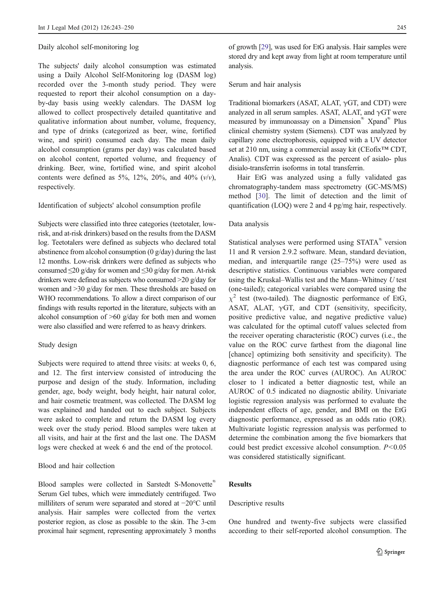#### Daily alcohol self-monitoring log

The subjects' daily alcohol consumption was estimated using a Daily Alcohol Self-Monitoring log (DASM log) recorded over the 3-month study period. They were requested to report their alcohol consumption on a dayby-day basis using weekly calendars. The DASM log allowed to collect prospectively detailed quantitative and qualitative information about number, volume, frequency, and type of drinks (categorized as beer, wine, fortified wine, and spirit) consumed each day. The mean daily alcohol consumption (grams per day) was calculated based on alcohol content, reported volume, and frequency of drinking. Beer, wine, fortified wine, and spirit alcohol contents were defined as 5%, 12%, 20%, and 40%  $(v/v)$ , respectively.

# Identification of subjects' alcohol consumption profile

Subjects were classified into three categories (teetotaler, lowrisk, and at-risk drinkers) based on the results from the DASM log. Teetotalers were defined as subjects who declared total abstinence from alcohol consumption (0 g/day) during the last 12 months. Low-risk drinkers were defined as subjects who consumed  $\leq$ 20 g/day for women and  $\leq$ 30 g/day for men. At-risk drinkers were defined as subjects who consumed >20 g/day for women and >30 g/day for men. These thresholds are based on WHO recommendations. To allow a direct comparison of our findings with results reported in the literature, subjects with an alcohol consumption of  $>60$  g/day for both men and women were also classified and were referred to as heavy drinkers.

#### Study design

Subjects were required to attend three visits: at weeks 0, 6, and 12. The first interview consisted of introducing the purpose and design of the study. Information, including gender, age, body weight, body height, hair natural color, and hair cosmetic treatment, was collected. The DASM log was explained and handed out to each subject. Subjects were asked to complete and return the DASM log every week over the study period. Blood samples were taken at all visits, and hair at the first and the last one. The DASM logs were checked at week 6 and the end of the protocol.

# Blood and hair collection

Blood samples were collected in Sarstedt S-Monovette® Serum Gel tubes, which were immediately centrifuged. Two milliliters of serum were separated and stored at −20°C until analysis. Hair samples were collected from the vertex posterior region, as close as possible to the skin. The 3-cm proximal hair segment, representing approximately 3 months of growth [[29](#page-7-0)], was used for EtG analysis. Hair samples were stored dry and kept away from light at room temperature until analysis.

## Serum and hair analysis

Traditional biomarkers (ASAT, ALAT,  $\gamma$ GT, and CDT) were analyzed in all serum samples. ASAT, ALAT, and  $\gamma$ GT were measured by immunoassay on a Dimension® Xpand® Plus clinical chemistry system (Siemens). CDT was analyzed by capillary zone electrophoresis, equipped with a UV detector set at 210 nm, using a commercial assay kit (CEofix<sup>™</sup> CDT, Analis). CDT was expressed as the percent of asialo- plus disialo-transferrin isoforms in total transferrin.

Hair EtG was analyzed using a fully validated gas chromatography-tandem mass spectrometry (GC-MS/MS) method [[30\]](#page-7-0). The limit of detection and the limit of quantification (LOQ) were 2 and 4 pg/mg hair, respectively.

#### Data analysis

Statistical analyses were performed using STATA® version 11 and R version 2.9.2 software. Mean, standard deviation, median, and interquartile range (25–75%) were used as descriptive statistics. Continuous variables were compared using the Kruskal–Wallis test and the Mann–Whitney U test (one-tailed); categorical variables were compared using the  $\chi^2$  test (two-tailed). The diagnostic performance of EtG, ASAT, ALAT,  $\gamma$ GT, and CDT (sensitivity, specificity, positive predictive value, and negative predictive value) was calculated for the optimal cutoff values selected from the receiver operating characteristic (ROC) curves (i.e., the value on the ROC curve farthest from the diagonal line [chance] optimizing both sensitivity and specificity). The diagnostic performance of each test was compared using the area under the ROC curves (AUROC). An AUROC closer to 1 indicated a better diagnostic test, while an AUROC of 0.5 indicated no diagnostic ability. Univariate logistic regression analysis was performed to evaluate the independent effects of age, gender, and BMI on the EtG diagnostic performance, expressed as an odds ratio (OR). Multivariate logistic regression analysis was performed to determine the combination among the five biomarkers that could best predict excessive alcohol consumption.  $P < 0.05$ was considered statistically significant.

# **Results**

# Descriptive results

One hundred and twenty-five subjects were classified according to their self-reported alcohol consumption. The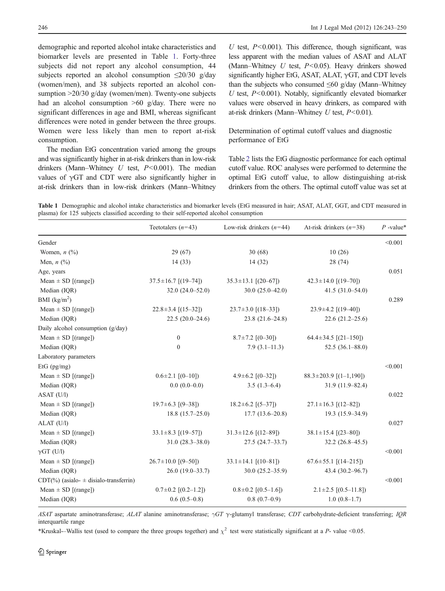demographic and reported alcohol intake characteristics and biomarker levels are presented in Table 1. Forty-three subjects did not report any alcohol consumption, 44 subjects reported an alcohol consumption  $\leq$ 20/30 g/day (women/men), and 38 subjects reported an alcohol consumption >20/30 g/day (women/men). Twenty-one subjects had an alcohol consumption >60 g/day. There were no significant differences in age and BMI, whereas significant differences were noted in gender between the three groups. Women were less likely than men to report at-risk consumption.

The median EtG concentration varied among the groups and was significantly higher in at-risk drinkers than in low-risk drinkers (Mann–Whitney  $U$  test,  $P < 0.001$ ). The median values of  $\gamma$ GT and CDT were also significantly higher in at-risk drinkers than in low-risk drinkers (Mann–Whitney

U test,  $P \le 0.001$ ). This difference, though significant, was less apparent with the median values of ASAT and ALAT (Mann–Whitney  $U$  test,  $P < 0.05$ ). Heavy drinkers showed significantly higher EtG, ASAT, ALAT,  $\gamma$ GT, and CDT levels than the subjects who consumed  $\leq 60$  g/day (Mann–Whitney  $U$  test,  $P < 0.001$ ). Notably, significantly elevated biomarker values were observed in heavy drinkers, as compared with at-risk drinkers (Mann–Whitney  $U$  test,  $P < 0.01$ ).

Determination of optimal cutoff values and diagnostic performance of EtG

Table [2](#page-4-0) lists the EtG diagnostic performance for each optimal cutoff value. ROC analyses were performed to determine the optimal EtG cutoff value, to allow distinguishing at-risk drinkers from the others. The optimal cutoff value was set at

Table 1 Demographic and alcohol intake characteristics and biomarker levels (EtG measured in hair; ASAT, ALAT, GGT, and CDT measured in plasma) for 125 subjects classified according to their self-reported alcohol consumption

|                                               | Teetotalers $(n=43)$        | Low-risk drinkers $(n=44)$ | At-risk drinkers $(n=38)$        | $P$ -value* |
|-----------------------------------------------|-----------------------------|----------------------------|----------------------------------|-------------|
| Gender                                        |                             |                            |                                  | < 0.001     |
| Women, $n$ $(\%)$                             | 29 (67)                     | 30(68)                     | 10(26)                           |             |
| Men, $n$ $(\%)$                               | 14(33)                      | 14(32)                     | 28 (74)                          |             |
| Age, years                                    |                             |                            |                                  | 0.051       |
| Mean $\pm$ SD [(range])                       | $37.5 \pm 16.7$ [(19-74])   | $35.3 \pm 13.1$ [(20-67])  | $42.3 \pm 14.0$ [(19-70])        |             |
| Median (IQR)                                  | $32.0(24.0-52.0)$           | $30.0(25.0-42.0)$          | $41.5(31.0-54.0)$                |             |
| BMI $(kg/m2)$                                 |                             |                            |                                  | 0.289       |
| Mean $\pm$ SD [(range])                       | $22.8 \pm 3.4$ [(15-32])    | $23.7 \pm 3.0$ [(18-33])   | $23.9 \pm 4.2$ [(19-40])         |             |
| Median (IQR)                                  | $22.5(20.0-24.6)$           | $23.8(21.6-24.8)$          | $22.6(21.2-25.6)$                |             |
| Daily alcohol consumption $(g/day)$           |                             |                            |                                  |             |
| Mean $\pm$ SD [(range])                       | $\boldsymbol{0}$            | $8.7 \pm 7.2$ [(0-30])     | $64.4 \pm 34.5$ [ $(21-150)$ ]   |             |
| Median (IQR)                                  | $\mathbf{0}$                | $7.9(3.1 - 11.3)$          | $52.5(36.1 - 88.0)$              |             |
| Laboratory parameters                         |                             |                            |                                  |             |
| EtG $(pg/mg)$                                 |                             |                            |                                  | < 0.001     |
| Mean $\pm$ SD [(range])                       | $0.6 \pm 2.1$ [(0-10])      | $4.9 \pm 6.2$ [(0-32])     | $88.3 \pm 203.9$ [(1-1,190])     |             |
| Median (IQR)                                  | $0.0(0.0-0.0)$              | $3.5(1.3-6.4)$             | $31.9(11.9 - 82.4)$              |             |
| ASAT (U/l)                                    |                             |                            |                                  | 0.022       |
| Mean $\pm$ SD [(range])                       | $19.7 \pm 6.3$ [ $(9-38$ ]) | $18.2 \pm 6.2$ [(5-37])    | $27.1 \pm 16.3$ [(12-82])        |             |
| Median (IQR)                                  | $18.8(15.7-25.0)$           | $17.7(13.6-20.8)$          | 19.3 (15.9–34.9)                 |             |
| $ALAT$ (U/l)                                  |                             |                            |                                  | 0.027       |
| Mean $\pm$ SD [(range])                       | $33.1 \pm 8.3$ [(19-57])    | $31.3 \pm 12.6$ [(12-89])  | $38.1 \pm 15.4$ [(23-80])        |             |
| Median (IQR)                                  | $31.0(28.3 - 38.0)$         | $27.5(24.7-33.7)$          | $32.2(26.8-45.5)$                |             |
| $\gamma$ GT (U/l)                             |                             |                            |                                  | < 0.001     |
| Mean $\pm$ SD [(range])                       | $26.7 \pm 10.0$ [(9-50])    | $33.1 \pm 14.1$ [(10-81])  | $67.6 \pm 55.1$ [ $(14-215)$ ]   |             |
| Median (IQR)                                  | $26.0(19.0-33.7)$           | $30.0(25.2 - 35.9)$        | $43.4(30.2 - 96.7)$              |             |
| $CDT(\%)$ (asialo- $\pm$ disialo-transferrin) |                             |                            |                                  | < 0.001     |
| Mean $\pm$ SD [(range])                       | $0.7 \pm 0.2$ [(0.2-1.2])   | $0.8 \pm 0.2$ [(0.5-1.6])  | $2.1 \pm 2.5$ [ $(0.5 - 11.8)$ ] |             |
| Median (IQR)                                  | $0.6(0.5-0.8)$              | $0.8(0.7-0.9)$             | $1.0(0.8-1.7)$                   |             |

ASAT aspartate aminotransferase; ALAT alanine aminotransferase;  $\gamma$ GT γ-glutamyl transferase; CDT carbohydrate-deficient transferring; IQR interquartile range

\*Kruskal-–Wallis test (used to compare the three groups together) and  $\chi^2$  test were statistically significant at a P- value <0.05.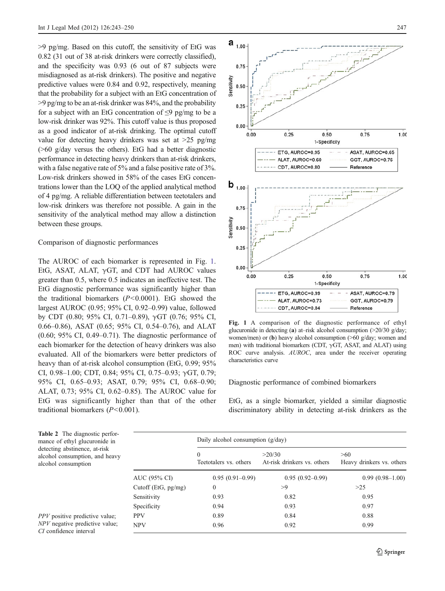<span id="page-4-0"></span>>9 pg/mg. Based on this cutoff, the sensitivity of EtG was 0.82 (31 out of 38 at-risk drinkers were correctly classified), and the specificity was 0.93 (6 out of 87 subjects were misdiagnosed as at-risk drinkers). The positive and negative predictive values were 0.84 and 0.92, respectively, meaning that the probability for a subject with an EtG concentration of  $>9$  pg/mg to be an at-risk drinker was 84%, and the probability for a subject with an EtG concentration of  $\leq$ 9 pg/mg to be a low-risk drinker was 92%. This cutoff value is thus proposed as a good indicator of at-risk drinking. The optimal cutoff value for detecting heavy drinkers was set at >25 pg/mg (>60 g/day versus the others). EtG had a better diagnostic performance in detecting heavy drinkers than at-risk drinkers, with a false negative rate of 5% and a false positive rate of 3%. Low-risk drinkers showed in 58% of the cases EtG concentrations lower than the LOQ of the applied analytical method of 4 pg/mg. A reliable differentiation between teetotalers and low-risk drinkers was therefore not possible. A gain in the sensitivity of the analytical method may allow a distinction between these groups.

## Comparison of diagnostic performances

The AUROC of each biomarker is represented in Fig. 1. EtG, ASAT, ALAT,  $\gamma$ GT, and CDT had AUROC values greater than 0.5, where 0.5 indicates an ineffective test. The EtG diagnostic performance was significantly higher than the traditional biomarkers  $(P<0.0001)$ . EtG showed the largest AUROC (0.95; 95% CI, 0.92–0.99) value, followed by CDT (0.80; 95% CI, 0.71–0.89), γGT (0.76; 95% CI, 0.66–0.86), ASAT (0.65; 95% CI, 0.54–0.76), and ALAT (0.60; 95% CI, 0.49–0.71). The diagnostic performance of each biomarker for the detection of heavy drinkers was also evaluated. All of the biomarkers were better predictors of heavy than of at-risk alcohol consumption (EtG, 0.99; 95%) CI, 0.98–1.00; CDT, 0.84; 95% CI, 0.75–0.93;  $\gamma$ GT, 0.79; 95% CI, 0.65–0.93; ASAT, 0.79; 95% CI, 0.68–0.90; ALAT, 0.73; 95% CI, 0.62–0.85). The AUROC value for EtG was significantly higher than that of the other traditional biomarkers  $(P<0.001)$ .



Fig. 1 A comparison of the diagnostic performance of ethyl glucuronide in detecting (a) at–risk alcohol consumption  $(>20/30 \text{ g/day})$ ; women/men) or (b) heavy alcohol consumption (>60 g/day; women and men) with traditional biomarkers (CDT, γGT, ASAT, and ALAT) using ROC curve analysis. AUROC, area under the receiver operating characteristics curve

Diagnostic performance of combined biomarkers

EtG, as a single biomarker, yielded a similar diagnostic discriminatory ability in detecting at-risk drinkers as the

| c perfor-<br>onide in<br>t-risk<br>und heavy |                     | Daily alcohol consumption $(g/day)$    |                                       |                                  |  |
|----------------------------------------------|---------------------|----------------------------------------|---------------------------------------|----------------------------------|--|
|                                              |                     | $\mathbf{0}$<br>Teetotalers vs. others | >20/30<br>At-risk drinkers vs. others | >60<br>Heavy drinkers vs. others |  |
|                                              | AUC (95% CI)        | $0.95(0.91-0.99)$                      | $0.95(0.92-0.99)$                     | $0.99(0.98-1.00)$                |  |
|                                              | Cutoff (EtG, pg/mg) | $\mathbf{0}$                           | >9                                    | $>25$                            |  |
|                                              | Sensitivity         | 0.93                                   | 0.82                                  | 0.95                             |  |
|                                              | Specificity         | 0.94                                   | 0.93                                  | 0.97                             |  |
| e value:<br>e value;                         | <b>PPV</b>          | 0.89                                   | 0.84                                  | 0.88                             |  |
|                                              | <b>NPV</b>          | 0.96                                   | 0.92                                  | 0.99                             |  |
|                                              |                     |                                        |                                       |                                  |  |

Table 2 The diagnosti mance of ethyl glucuro detecting abstinence, a alcohol consumption, a alcohol consumption

 $PPV$  positive predictive  $NPV$  negative predictive CI confidence interval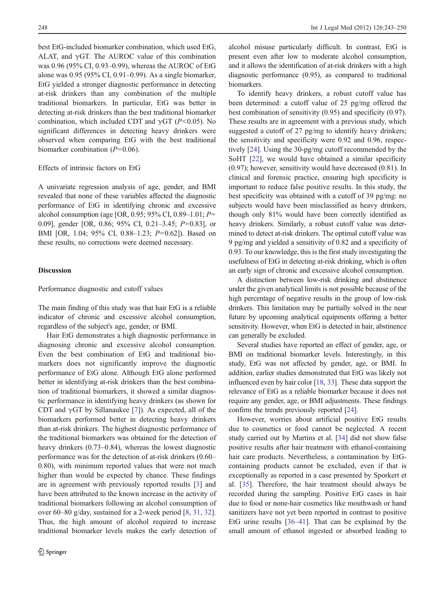best EtG-included biomarker combination, which used EtG, ALAT, and  $\gamma$ GT. The AUROC value of this combination was 0.96 (95% CI, 0.93–0.99), whereas the AUROC of EtG alone was 0.95 (95% CI, 0.91–0.99). As a single biomarker, EtG yielded a stronger diagnostic performance in detecting at-risk drinkers than any combination of the multiple traditional biomarkers. In particular, EtG was better in detecting at-risk drinkers than the best traditional biomarker combination, which included CDT and  $\gamma$ GT (P<0.05). No significant differences in detecting heavy drinkers were observed when comparing EtG with the best traditional biomarker combination  $(P=0.06)$ .

#### Effects of intrinsic factors on EtG

A univariate regression analysis of age, gender, and BMI revealed that none of these variables affected the diagnostic performance of EtG in identifying chronic and excessive alcohol consumption (age [OR, 0.95; 95% CI, 0.89–1.01;  $P=$ 0.09], gender [OR, 0.86; 95% CI, 0.21–3.45; P=0.83], or BMI [OR, 1.04; 95% CI, 0.88–1.23; P=0.62]). Based on these results, no corrections were deemed necessary.

## Discussion

## Performance diagnostic and cutoff values

The main finding of this study was that hair EtG is a reliable indicator of chronic and excessive alcohol consumption, regardless of the subject's age, gender, or BMI.

Hair EtG demonstrates a high diagnostic performance in diagnosing chronic and excessive alcohol consumption. Even the best combination of EtG and traditional biomarkers does not significantly improve the diagnostic performance of EtG alone. Although EtG alone performed better in identifying at-risk drinkers than the best combination of traditional biomarkers, it showed a similar diagnostic performance in identifying heavy drinkers (as shown for CDT and  $\gamma$ GT by Sillanaukee [[7\]](#page-6-0)). As expected, all of the biomarkers performed better in detecting heavy drinkers than at-risk drinkers. The highest diagnostic performance of the traditional biomarkers was obtained for the detection of heavy drinkers (0.73–0.84), whereas the lowest diagnostic performance was for the detection of at-risk drinkers (0.60– 0.80), with minimum reported values that were not much higher than would be expected by chance. These findings are in agreement with previously reported results [\[3](#page-6-0)] and have been attributed to the known increase in the activity of traditional biomarkers following an alcohol consumption of over 60–80 g/day, sustained for a 2-week period [\[8](#page-6-0), [31](#page-7-0), [32](#page-7-0)]. Thus, the high amount of alcohol required to increase traditional biomarker levels makes the early detection of

alcohol misuse particularly difficult. In contrast, EtG is present even after low to moderate alcohol consumption, and it allows the identification of at-risk drinkers with a high diagnostic performance (0.95), as compared to traditional biomarkers.

To identify heavy drinkers, a robust cutoff value has been determined: a cutoff value of 25 pg/mg offered the best combination of sensitivity (0.95) and specificity (0.97). These results are in agreement with a previous study, which suggested a cutoff of 27 pg/mg to identify heavy drinkers; the sensitivity and specificity were 0.92 and 0.96, respectively [\[24](#page-7-0)]. Using the 30-pg/mg cutoff recommended by the SoHT [\[22](#page-7-0)], we would have obtained a similar specificity (0.97); however, sensitivity would have decreased (0.81). In clinical and forensic practice, ensuring high specificity is important to reduce false positive results. In this study, the best specificity was obtained with a cutoff of 39 pg/mg: no subjects would have been misclassified as heavy drinkers, though only 81% would have been correctly identified as heavy drinkers. Similarly, a robust cutoff value was determined to detect at-risk drinkers. The optimal cutoff value was 9 pg/mg and yielded a sensitivity of 0.82 and a specificity of 0.93. To our knowledge, this is the first study investigating the usefulness of EtG in detecting at-risk drinking, which is often an early sign of chronic and excessive alcohol consumption.

A distinction between low-risk drinking and abstinence under the given analytical limits is not possible because of the high percentage of negative results in the group of low-risk drinkers. This limitation may be partially solved in the near future by upcoming analytical equipments offering a better sensitivity. However, when EtG is detected in hair, abstinence can generally be excluded.

Several studies have reported an effect of gender, age, or BMI on traditional biomarker levels. Interestingly, in this study, EtG was not affected by gender, age, or BMI. In addition, earlier studies demonstrated that EtG was likely not influenced even by hair color [\[18](#page-6-0), [33\]](#page-7-0). These data support the relevance of EtG as a reliable biomarker because it does not require any gender, age, or BMI adjustments. These findings confirm the trends previously reported [\[24](#page-7-0)].

However, worries about artificial positive EtG results due to cosmetics or food cannot be neglected. A recent study carried out by Martins et al. [\[34](#page-7-0)] did not show false positive results after hair treatment with ethanol-containing hair care products. Nevertheless, a contamination by EtGcontaining products cannot be excluded, even if that is exceptionally as reported in a case presented by Sporkert et al. [[35\]](#page-7-0). Therefore, the hair treatment should always be recorded during the sampling. Positive EtG cases in hair due to food or none-hair cosmetics like mouthwash or hand sanitizers have not yet been reported in contrast to positive EtG urine results [[36](#page-7-0)–[41\]](#page-7-0). That can be explained by the small amount of ethanol ingested or absorbed leading to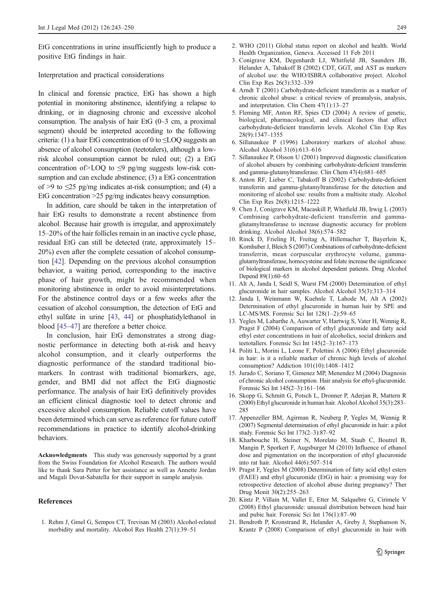<span id="page-6-0"></span>EtG concentrations in urine insufficiently high to produce a positive EtG findings in hair.

## Interpretation and practical considerations

In clinical and forensic practice, EtG has shown a high potential in monitoring abstinence, identifying a relapse to drinking, or in diagnosing chronic and excessive alcohol consumption. The analysis of hair EtG (0–3 cm, a proximal segment) should be interpreted according to the following criteria: (1) a hair EtG concentration of 0 to  $\leq$  LOQ suggests an absence of alcohol consumption (teetotalers), although a lowrisk alcohol consumption cannot be ruled out; (2) a EtG concentration of  $\geq$ LOQ to  $\leq$ 9 pg/mg suggests low-risk consumption and can exclude abstinence; (3) a EtG concentration of >9 to  $\leq$ 25 pg/mg indicates at-risk consumption; and (4) a EtG concentration >25 pg/mg indicates heavy consumption.

In addition, care should be taken in the interpretation of hair EtG results to demonstrate a recent abstinence from alcohol. Because hair growth is irregular, and approximately 15–20% of the hair follicles remain in an inactive cycle phase, residual EtG can still be detected (rate, approximately 15– 20%) even after the complete cessation of alcohol consumption [[42](#page-7-0)]. Depending on the previous alcohol consumption behavior, a waiting period, corresponding to the inactive phase of hair growth, might be recommended when monitoring abstinence in order to avoid misinterpretations. For the abstinence control days or a few weeks after the cessation of alcohol consumption, the detection of EtG and ethyl sulfate in urine [\[43,](#page-7-0) [44\]](#page-7-0) or phosphatidylethanol in blood [[45](#page-7-0)–[47](#page-7-0)] are therefore a better choice.

In conclusion, hair EtG demonstrates a strong diagnostic performance in detecting both at-risk and heavy alcohol consumption, and it clearly outperforms the diagnostic performance of the standard traditional biomarkers. In contrast with traditional biomarkers, age, gender, and BMI did not affect the EtG diagnostic performance. The analysis of hair EtG definitively provides an efficient clinical diagnostic tool to detect chronic and excessive alcohol consumption. Reliable cutoff values have been determined which can serve as reference for future cutoff recommendations in practice to identify alcohol-drinking behaviors.

Acknowledgments This study was generously supported by a grant from the Swiss Foundation for Alcohol Research. The authors would like to thank Sara Petter for her assistance as well as Annette Jordan and Magali Dovat-Sabatella for their support in sample analysis.

# References

1. Rehm J, Gmel G, Sempos CT, Trevisan M (2003) Alcohol-related morbidity and mortality. Alcohol Res Health 27(1):39–51

- 2. WHO (2011) Global status report on alcohol and health. World Health Organization, Geneva. Accessed 11 Feb 2011
- 3. Conigrave KM, Degenhardt LJ, Whitfield JB, Saunders JB, Helander A, Tabakoff B (2002) CDT, GGT, and AST as markers of alcohol use: the WHO/ISBRA collaborative project. Alcohol Clin Exp Res 26(3):332–339
- 4. Arndt T (2001) Carbohydrate-deficient transferrin as a marker of chronic alcohol abuse: a critical review of preanalysis, analysis, and interpretation. Clin Chem 47(1):13–27
- 5. Fleming MF, Anton RF, Spies CD (2004) A review of genetic, biological, pharmacological, and clinical factors that affect carbohydrate-deficient transferrin levels. Alcohol Clin Exp Res 28(9):1347–1355
- 6. Sillanaukee P (1996) Laboratory markers of alcohol abuse. Alcohol Alcohol 31(6):613–616
- 7. Sillanaukee P, Olsson U (2001) Improved diagnostic classification of alcohol abusers by combining carbohydrate-deficient transferrin and gamma-glutamyltransferase. Clin Chem 47(4):681–685
- 8. Anton RF, Lieber C, Tabakoff B (2002) Carbohydrate-deficient transferrin and gamma-glutamyltransferase for the detection and monitoring of alcohol use: results from a multisite study. Alcohol Clin Exp Res 26(8):1215–1222
- 9. Chen J, Conigrave KM, Macaskill P, Whitfield JB, Irwig L (2003) Combining carbohydrate-deficient transferrin and gammaglutamyltransferase to increase diagnostic accuracy for problem drinking. Alcohol Alcohol 38(6):574–582
- 10. Rinck D, Frieling H, Freitag A, Hillemacher T, Bayerlein K, Kornhuber J, Bleich S (2007) Combinations of carbohydrate-deficient transferrin, mean corpuscular erythrocyte volume, gammaglutamyltransferase, homocysteine and folate increase the significance of biological markers in alcohol dependent patients. Drug Alcohol Depend 89(1):60–65
- 11. Alt A, Janda I, Seidl S, Wurst FM (2000) Determination of ethyl glucuronide in hair samples. Alcohol Alcohol 35(3):313–314
- 12. Janda I, Weinmann W, Kuehnle T, Lahode M, Alt A (2002) Determination of ethyl glucuronide in human hair by SPE and LC-MS/MS. Forensic Sci Int 128(1–2):59–65
- 13. Yegles M, Labarthe A, Auwarter V, Hartwig S, Vater H, Wennig R, Pragst F (2004) Comparison of ethyl glucuronide and fatty acid ethyl ester concentrations in hair of alcoholics, social drinkers and teetotallers. Forensic Sci Int 145(2–3):167–173
- 14. Politi L, Morini L, Leone F, Polettini A (2006) Ethyl glucuronide in hair: is it a reliable marker of chronic high levels of alcohol consumption? Addiction 101(10):1408–1412
- 15. Jurado C, Soriano T, Gimenez MP, Menendez M (2004) Diagnosis of chronic alcohol consumption. Hair analysis for ethyl-glucuronide. Forensic Sci Int 145(2–3):161–166
- 16. Skopp G, Schmitt G, Potsch L, Dronner P, Aderjan R, Mattern R (2000) Ethyl glucuronide in human hair. Alcohol Alcohol 35(3):283– 285
- 17. Appenzeller BM, Agirman R, Neuberg P, Yegles M, Wennig R (2007) Segmental determination of ethyl glucuronide in hair: a pilot study. Forensic Sci Int 173(2–3):87–92
- 18. Kharbouche H, Steiner N, Morelato M, Staub C, Boutrel B, Mangin P, Sporkert F, Augsburger M (2010) Influence of ethanol dose and pigmentation on the incorporation of ethyl glucuronide into rat hair. Alcohol 44(6):507–514
- 19. Pragst F, Yegles M (2008) Determination of fatty acid ethyl esters (FAEE) and ethyl glucuronide (EtG) in hair: a promising way for retrospective detection of alcohol abuse during pregnancy? Ther Drug Monit 30(2):255–263
- 20. Kintz P, Villain M, Vallet E, Etter M, Salquebre G, Cirimele V (2008) Ethyl glucuronide: unusual distribution between head hair and pubic hair. Forensic Sci Int 176(1):87–90
- 21. Bendroth P, Kronstrand R, Helander A, Greby J, Stephanson N, Krantz P (2008) Comparison of ethyl glucuronide in hair with